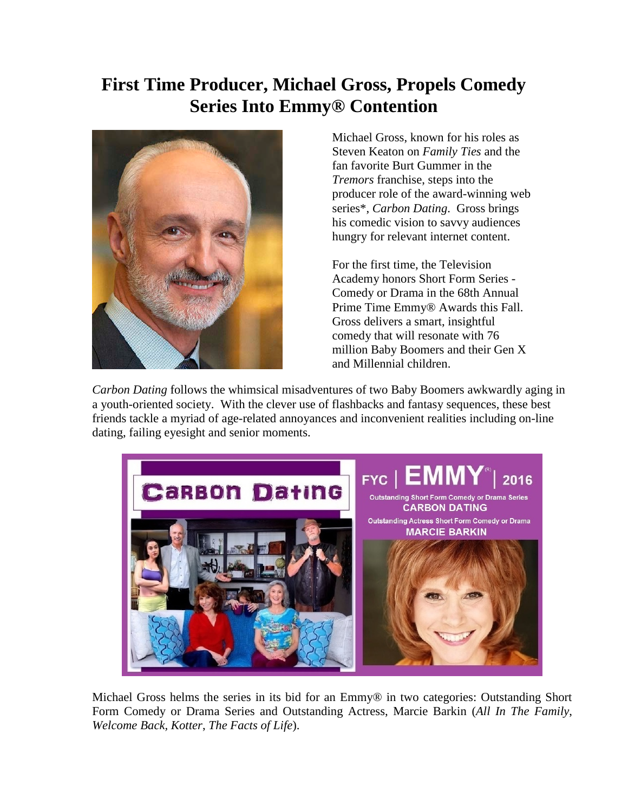## **First Time Producer, Michael Gross, Propels Comedy Series Into Emmy® Contention**



Michael Gross, known for his roles as Steven Keaton on *Family Ties* and the fan favorite Burt Gummer in the *Tremors* franchise, steps into the producer role of the award-winning web series\*, *Carbon Dating*. Gross brings his comedic vision to savvy audiences hungry for relevant internet content.

For the first time, the Television Academy honors Short Form Series - Comedy or Drama in the 68th Annual Prime Time Emmy® Awards this Fall. Gross delivers a smart, insightful comedy that will resonate with 76 million Baby Boomers and their Gen X and Millennial children.

*Carbon Dating* follows the whimsical misadventures of two Baby Boomers awkwardly aging in a youth-oriented society. With the clever use of flashbacks and fantasy sequences, these best friends tackle a myriad of age-related annoyances and inconvenient realities including on-line dating, failing eyesight and senior moments.



Michael Gross helms the series in its bid for an Emmy® in two categories: Outstanding Short Form Comedy or Drama Series and Outstanding Actress, Marcie Barkin (*All In The Family*, *Welcome Back, Kotter*, *The Facts of Life*).